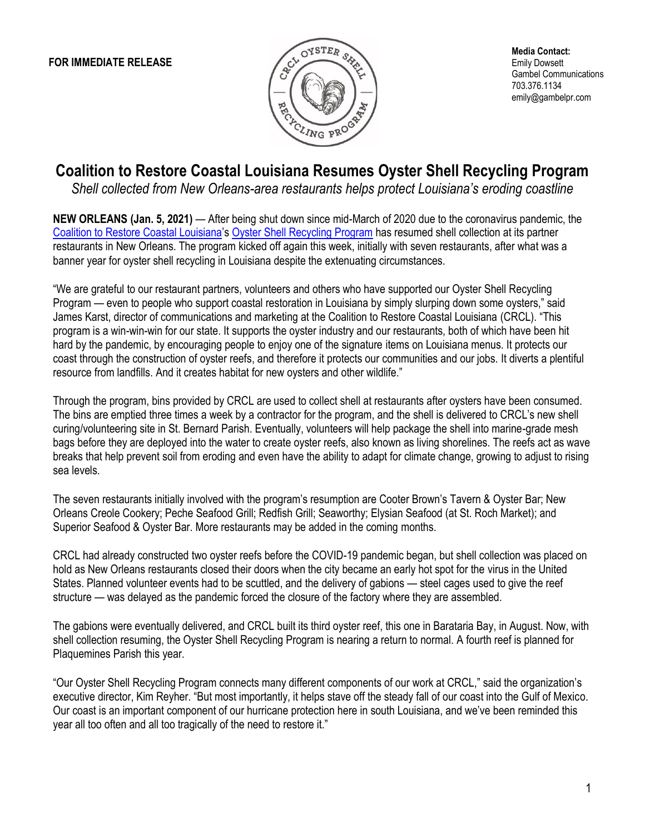

**Media Contact:** Emily Dowsett Gambel Communications 703.376.1134 emily@gambelpr.com

## **Coalition to Restore Coastal Louisiana Resumes Oyster Shell Recycling Program**

*Shell collected from New Orleans-area restaurants helps protect Louisiana's eroding coastline*

**NEW ORLEANS (Jan. 5, 2021)** — After being shut down since mid-March of 2020 due to the coronavirus pandemic, the [Coalition to Restore Coastal Louisiana](https://www.crcl.org/)'s [Oyster Shell Recycling Program](https://www.crcl.org/oyster-shell-recycling) has resumed shell collection at its partner restaurants in New Orleans. The program kicked off again this week, initially with seven restaurants, after what was a banner year for oyster shell recycling in Louisiana despite the extenuating circumstances.

"We are grateful to our restaurant partners, volunteers and others who have supported our Oyster Shell Recycling Program — even to people who support coastal restoration in Louisiana by simply slurping down some oysters," said James Karst, director of communications and marketing at the Coalition to Restore Coastal Louisiana (CRCL). "This program is a win-win-win for our state. It supports the oyster industry and our restaurants, both of which have been hit hard by the pandemic, by encouraging people to enjoy one of the signature items on Louisiana menus. It protects our coast through the construction of oyster reefs, and therefore it protects our communities and our jobs. It diverts a plentiful resource from landfills. And it creates habitat for new oysters and other wildlife."

Through the program, bins provided by CRCL are used to collect shell at restaurants after oysters have been consumed. The bins are emptied three times a week by a contractor for the program, and the shell is delivered to CRCL's new shell curing/volunteering site in St. Bernard Parish. Eventually, volunteers will help package the shell into marine-grade mesh bags before they are deployed into the water to create oyster reefs, also known as living shorelines. The reefs act as wave breaks that help prevent soil from eroding and even have the ability to adapt for climate change, growing to adjust to rising sea levels.

The seven restaurants initially involved with the program's resumption are Cooter Brown's Tavern & Oyster Bar; New Orleans Creole Cookery; Peche Seafood Grill; Redfish Grill; Seaworthy; Elysian Seafood (at St. Roch Market); and Superior Seafood & Oyster Bar. More restaurants may be added in the coming months.

CRCL had already constructed two oyster reefs before the COVID-19 pandemic began, but shell collection was placed on hold as New Orleans restaurants closed their doors when the city became an early hot spot for the virus in the United States. Planned volunteer events had to be scuttled, and the delivery of gabions — steel cages used to give the reef structure — was delayed as the pandemic forced the closure of the factory where they are assembled.

The gabions were eventually delivered, and CRCL built its third oyster reef, this one in Barataria Bay, in August. Now, with shell collection resuming, the Oyster Shell Recycling Program is nearing a return to normal. A fourth reef is planned for Plaquemines Parish this year.

"Our Oyster Shell Recycling Program connects many different components of our work at CRCL," said the organization's executive director, Kim Reyher. "But most importantly, it helps stave off the steady fall of our coast into the Gulf of Mexico. Our coast is an important component of our hurricane protection here in south Louisiana, and we've been reminded this year all too often and all too tragically of the need to restore it."